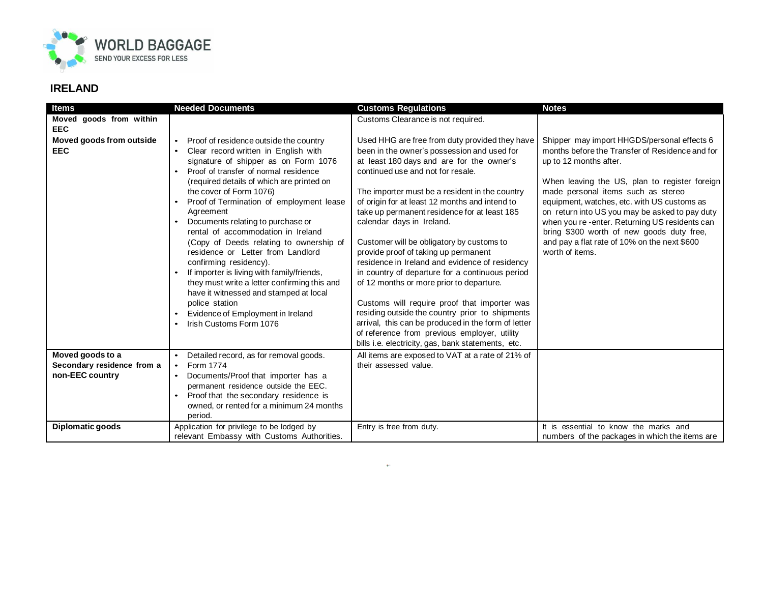

| <b>Items</b>               | <b>Needed Documents</b>                                                      | <b>Customs Regulations</b>                                                        | <b>Notes</b>                                                    |
|----------------------------|------------------------------------------------------------------------------|-----------------------------------------------------------------------------------|-----------------------------------------------------------------|
| Moved goods from within    |                                                                              | Customs Clearance is not required.                                                |                                                                 |
| <b>EEC</b>                 |                                                                              |                                                                                   |                                                                 |
| Moved goods from outside   | Proof of residence outside the country<br>$\bullet$                          | Used HHG are free from duty provided they have                                    | Shipper may import HHGDS/personal effects 6                     |
| <b>EEC</b>                 | Clear record written in English with                                         | been in the owner's possession and used for                                       | months before the Transfer of Residence and for                 |
|                            | signature of shipper as on Form 1076                                         | at least 180 days and are for the owner's                                         | up to 12 months after.                                          |
|                            | Proof of transfer of normal residence                                        | continued use and not for resale.                                                 |                                                                 |
|                            | (required details of which are printed on                                    |                                                                                   | When leaving the US, plan to register foreign                   |
|                            | the cover of Form 1076)                                                      | The importer must be a resident in the country                                    | made personal items such as stereo                              |
|                            | Proof of Termination of employment lease                                     | of origin for at least 12 months and intend to                                    | equipment, watches, etc. with US customs as                     |
|                            | Agreement                                                                    | take up permanent residence for at least 185                                      | on return into US you may be asked to pay duty                  |
|                            | Documents relating to purchase or<br>rental of accommodation in Ireland      | calendar days in Ireland.                                                         | when you re -enter. Returning US residents can                  |
|                            |                                                                              |                                                                                   | bring \$300 worth of new goods duty free,                       |
|                            | (Copy of Deeds relating to ownership of<br>residence or Letter from Landlord | Customer will be obligatory by customs to<br>provide proof of taking up permanent | and pay a flat rate of 10% on the next \$600<br>worth of items. |
|                            | confirming residency).                                                       | residence in Ireland and evidence of residency                                    |                                                                 |
|                            | If importer is living with family/friends,                                   | in country of departure for a continuous period                                   |                                                                 |
|                            | they must write a letter confirming this and                                 | of 12 months or more prior to departure.                                          |                                                                 |
|                            | have it witnessed and stamped at local                                       |                                                                                   |                                                                 |
|                            | police station                                                               | Customs will require proof that importer was                                      |                                                                 |
|                            | Evidence of Employment in Ireland                                            | residing outside the country prior to shipments                                   |                                                                 |
|                            | Irish Customs Form 1076                                                      | arrival, this can be produced in the form of letter                               |                                                                 |
|                            |                                                                              | of reference from previous employer, utility                                      |                                                                 |
|                            |                                                                              | bills i.e. electricity, gas, bank statements, etc.                                |                                                                 |
| Moved goods to a           | Detailed record, as for removal goods.                                       | All items are exposed to VAT at a rate of 21% of                                  |                                                                 |
| Secondary residence from a | Form 1774<br>$\bullet$                                                       | their assessed value.                                                             |                                                                 |
| non-EEC country            | Documents/Proof that importer has a                                          |                                                                                   |                                                                 |
|                            | permanent residence outside the EEC.                                         |                                                                                   |                                                                 |
|                            | Proof that the secondary residence is                                        |                                                                                   |                                                                 |
|                            | owned, or rented for a minimum 24 months<br>period.                          |                                                                                   |                                                                 |
| Diplomatic goods           | Application for privilege to be lodged by                                    | Entry is free from duty.                                                          | It is essential to know the marks and                           |
|                            | relevant Embassy with Customs Authorities.                                   |                                                                                   | numbers of the packages in which the items are                  |

à.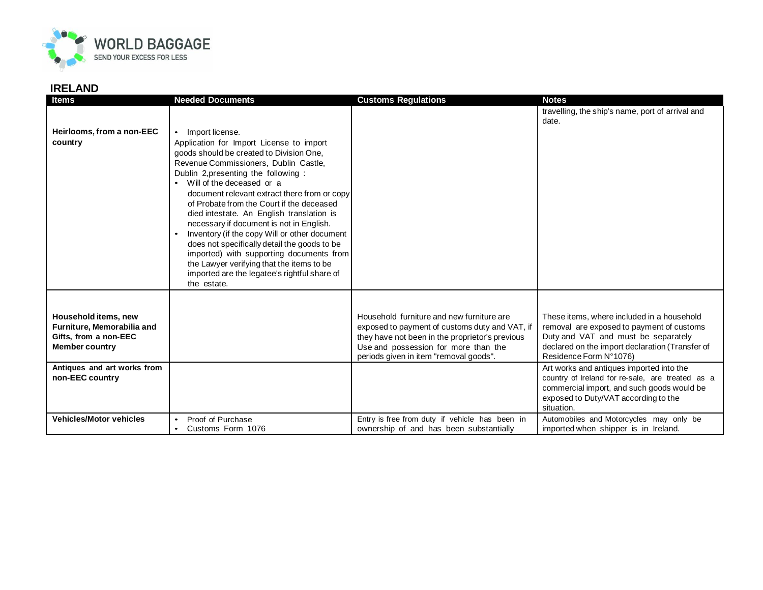

| <b>Items</b>                                                                                         | <b>Needed Documents</b>                                                                                                                                                                                                                                                                                                                                                                                                              | <b>Customs Regulations</b>                                                                                                                                                                                                       | <b>Notes</b>                                                                                                                                                                                                |
|------------------------------------------------------------------------------------------------------|--------------------------------------------------------------------------------------------------------------------------------------------------------------------------------------------------------------------------------------------------------------------------------------------------------------------------------------------------------------------------------------------------------------------------------------|----------------------------------------------------------------------------------------------------------------------------------------------------------------------------------------------------------------------------------|-------------------------------------------------------------------------------------------------------------------------------------------------------------------------------------------------------------|
| Heirlooms, from a non-EEC<br>country                                                                 | Import license.<br>$\bullet$<br>Application for Import License to import<br>goods should be created to Division One,<br>Revenue Commissioners, Dublin Castle,<br>Dublin 2, presenting the following:<br>Will of the deceased or a<br>$\bullet$<br>document relevant extract there from or copy<br>of Probate from the Court if the deceased<br>died intestate. An English translation is<br>necessary if document is not in English. |                                                                                                                                                                                                                                  | travelling, the ship's name, port of arrival and<br>date.                                                                                                                                                   |
|                                                                                                      | Inventory (if the copy Will or other document<br>does not specifically detail the goods to be<br>imported) with supporting documents from<br>the Lawyer verifying that the items to be<br>imported are the legatee's rightful share of<br>the estate.                                                                                                                                                                                |                                                                                                                                                                                                                                  |                                                                                                                                                                                                             |
| Household items, new<br>Furniture, Memorabilia and<br>Gifts, from a non-EEC<br><b>Member country</b> |                                                                                                                                                                                                                                                                                                                                                                                                                                      | Household furniture and new furniture are<br>exposed to payment of customs duty and VAT, if<br>they have not been in the proprietor's previous<br>Use and possession for more than the<br>periods given in item "removal goods". | These items, where included in a household<br>removal are exposed to payment of customs<br>Duty and VAT and must be separately<br>declared on the import declaration (Transfer of<br>Residence Form N°1076) |
| Antiques and art works from<br>non-EEC country                                                       |                                                                                                                                                                                                                                                                                                                                                                                                                                      |                                                                                                                                                                                                                                  | Art works and antiques imported into the<br>country of Ireland for re-sale, are treated as a<br>commercial import, and such goods would be<br>exposed to Duty/VAT according to the<br>situation.            |
| <b>Vehicles/Motor vehicles</b>                                                                       | Proof of Purchase<br>$\bullet$<br>Customs Form 1076<br>$\bullet$                                                                                                                                                                                                                                                                                                                                                                     | Entry is free from duty if vehicle has been in<br>ownership of and has been substantially                                                                                                                                        | Automobiles and Motorcycles may only be<br>imported when shipper is in Ireland.                                                                                                                             |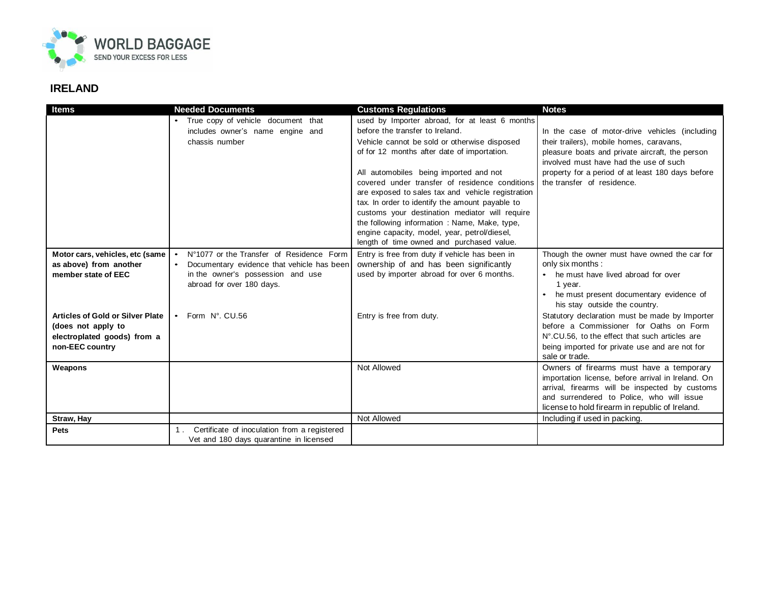

| <b>Items</b>                            | <b>Needed Documents</b>                               | <b>Customs Regulations</b>                                                               | <b>Notes</b>                                                                    |
|-----------------------------------------|-------------------------------------------------------|------------------------------------------------------------------------------------------|---------------------------------------------------------------------------------|
|                                         | True copy of vehicle document that                    | used by Importer abroad, for at least 6 months                                           |                                                                                 |
|                                         | includes owner's name engine and                      | before the transfer to Ireland.                                                          | In the case of motor-drive vehicles (including                                  |
|                                         | chassis number                                        | Vehicle cannot be sold or otherwise disposed                                             | their trailers), mobile homes, caravans,                                        |
|                                         |                                                       | of for 12 months after date of importation.                                              | pleasure boats and private aircraft, the person                                 |
|                                         |                                                       |                                                                                          | involved must have had the use of such                                          |
|                                         |                                                       | All automobiles being imported and not<br>covered under transfer of residence conditions | property for a period of at least 180 days before<br>the transfer of residence. |
|                                         |                                                       | are exposed to sales tax and vehicle registration                                        |                                                                                 |
|                                         |                                                       | tax. In order to identify the amount payable to                                          |                                                                                 |
|                                         |                                                       | customs your destination mediator will require                                           |                                                                                 |
|                                         |                                                       | the following information: Name, Make, type,                                             |                                                                                 |
|                                         |                                                       | engine capacity, model, year, petrol/diesel,                                             |                                                                                 |
|                                         |                                                       | length of time owned and purchased value.                                                |                                                                                 |
| Motor cars, vehicles, etc (same         | N°1077 or the Transfer of Residence Form<br>$\bullet$ | Entry is free from duty if vehicle has been in                                           | Though the owner must have owned the car for                                    |
| as above) from another                  | Documentary evidence that vehicle has been            | ownership of and has been significantly                                                  | only six months :                                                               |
| member state of EEC                     | in the owner's possession and use                     | used by importer abroad for over 6 months.                                               | • he must have lived abroad for over                                            |
|                                         | abroad for over 180 days.                             |                                                                                          | 1 year.                                                                         |
|                                         |                                                       |                                                                                          | • he must present documentary evidence of<br>his stay outside the country.      |
| <b>Articles of Gold or Silver Plate</b> | Form N°, CU.56<br>$\bullet$                           | Entry is free from duty.                                                                 | Statutory declaration must be made by Importer                                  |
| (does not apply to                      |                                                       |                                                                                          | before a Commissioner for Oaths on Form                                         |
| electroplated goods) from a             |                                                       |                                                                                          | N°.CU.56, to the effect that such articles are                                  |
| non-EEC country                         |                                                       |                                                                                          | being imported for private use and are not for                                  |
|                                         |                                                       |                                                                                          | sale or trade.                                                                  |
| Weapons                                 |                                                       | Not Allowed                                                                              | Owners of firearms must have a temporary                                        |
|                                         |                                                       |                                                                                          | importation license, before arrival in Ireland. On                              |
|                                         |                                                       |                                                                                          | arrival, firearms will be inspected by customs                                  |
|                                         |                                                       |                                                                                          | and surrendered to Police, who will issue                                       |
|                                         |                                                       |                                                                                          | license to hold firearm in republic of Ireland.                                 |
| Straw, Hay                              |                                                       | Not Allowed                                                                              | Including if used in packing.                                                   |
| Pets                                    | Certificate of inoculation from a registered          |                                                                                          |                                                                                 |
|                                         | Vet and 180 days quarantine in licensed               |                                                                                          |                                                                                 |